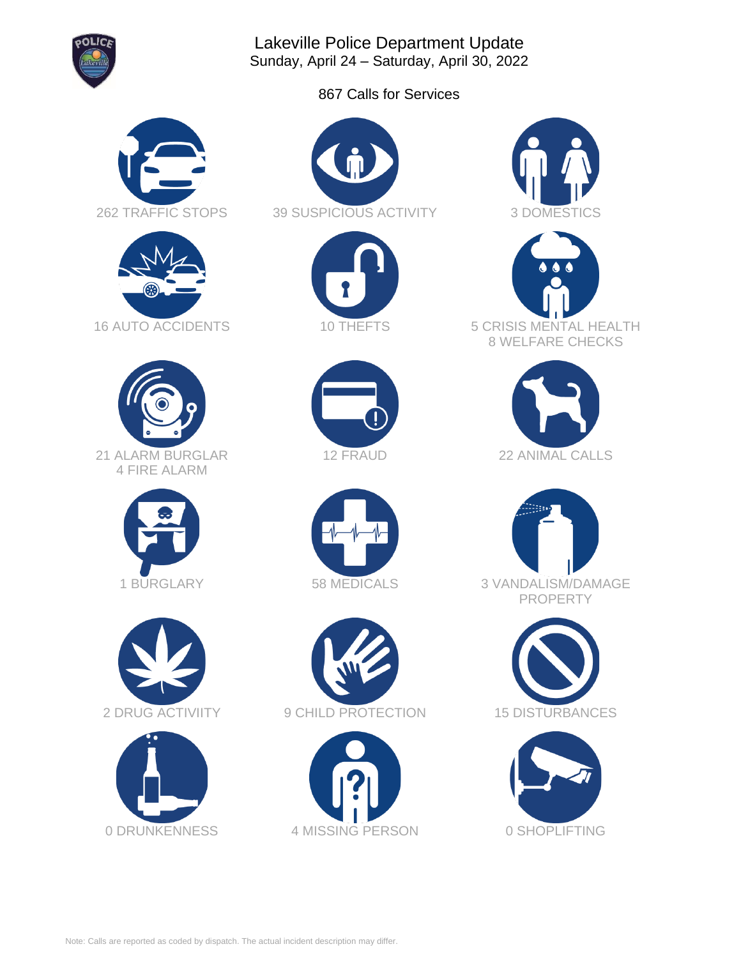

Lakeville Police Department Update Sunday, April 24 – Saturday, April 30, 2022

867 Calls for Services